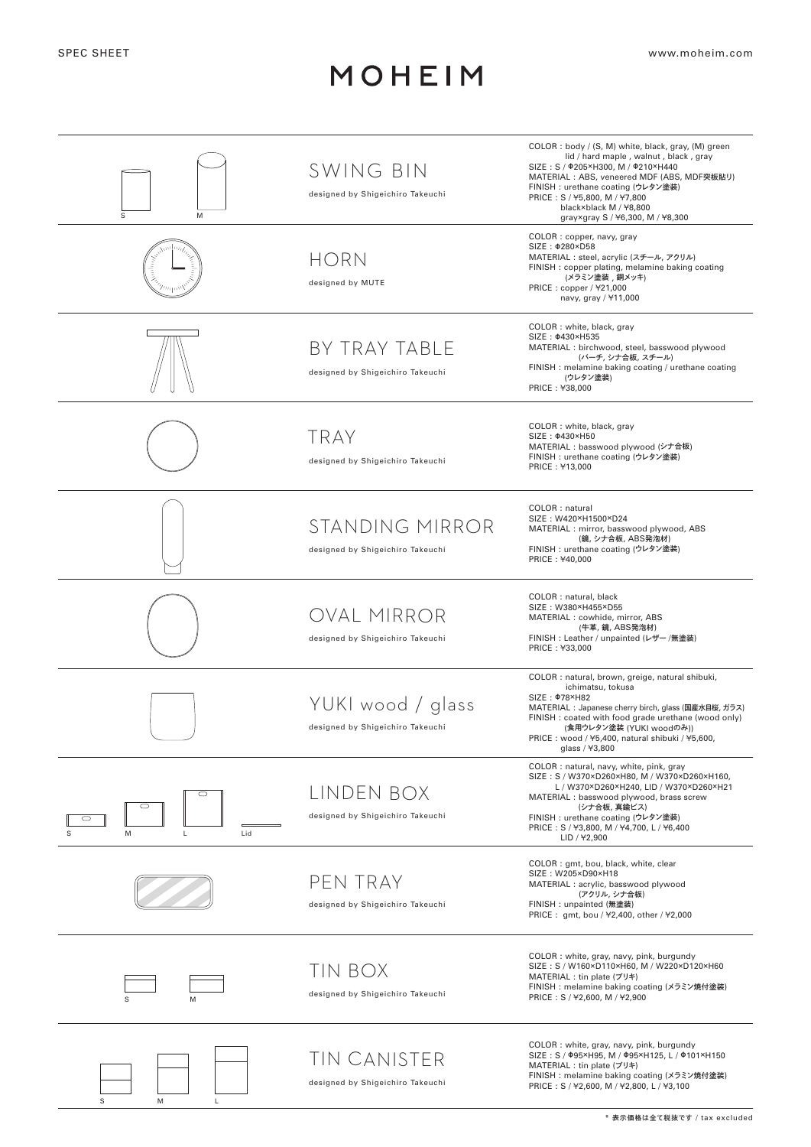## MOHEIM

| M<br>S                             | SWING BIN<br>designed by Shigeichiro Takeuchi         | COLOR : body / (S, M) white, black, gray, (M) green<br>lid / hard maple, walnut, black, gray<br>SIZE: S / 0205×H300, M / 0210×H440<br>MATERIAL: ABS, veneered MDF (ABS, MDF突板貼り)<br>FINISH : urethane coating (ウレタン塗装)<br>PRICE: S / ¥5,800, M / ¥7,800<br>black×black M / ¥8,800<br>gray×gray S / ¥6,300, M / ¥8,300 |
|------------------------------------|-------------------------------------------------------|-----------------------------------------------------------------------------------------------------------------------------------------------------------------------------------------------------------------------------------------------------------------------------------------------------------------------|
|                                    | <b>HORN</b><br>designed by MUTE                       | COLOR: copper, navy, gray<br>SIZE: $\Phi$ 280×D58<br>MATERIAL: steel, acrylic (スチール, アクリル)<br>FINISH : copper plating, melamine baking coating<br>(メラミン塗装,銅メッキ)<br>PRICE: copper / ¥21,000<br>navy, gray / ¥11,000                                                                                                    |
|                                    | BY TRAY TABLE<br>designed by Shigeichiro Takeuchi     | COLOR : white, black, gray<br>SIZE: 0430×H535<br>MATERIAL : birchwood, steel, basswood plywood<br>(バーチ, シナ合板, スチール)<br>FINISH : melamine baking coating / urethane coating<br>(ウレタン塗装)<br>PRICE: ¥38,000                                                                                                              |
|                                    | <b>TRAY</b><br>designed by Shigeichiro Takeuchi       | COLOR: white, black, gray<br>SIZE: $0430 \times$ H50<br>MATERIAL: basswood plywood (シナ合板)<br>FINISH : urethane coating (ウレタン塗装)<br>PRICE: ¥13,000                                                                                                                                                                     |
|                                    | STANDING MIRROR<br>designed by Shigeichiro Takeuchi   | COLOR : natural<br>SIZE: W420×H1500×D24<br>MATERIAL : mirror, basswood plywood, ABS<br>(鏡, シナ合板, ABS発泡材)<br>FINISH : urethane coating (ウレタン塗装)<br>PRICE: ¥40,000                                                                                                                                                      |
|                                    | OVAL MIRROR<br>designed by Shigeichiro Takeuchi       | COLOR : natural, black<br>SIZE: W380×H455×D55<br>MATERIAL : cowhide, mirror, ABS<br>(牛革, 鏡, ABS発泡材)<br>FINISH: Leather / unpainted (レザー/無塗装)<br>PRICE: ¥33,000                                                                                                                                                        |
|                                    | YUKI wood / glass<br>designed by Shigeichiro Takeuchi | COLOR : natural, brown, greige, natural shibuki,<br>ichimatsu, tokusa<br>SIZE: 078×H82<br>MATERIAL: Japanese cherry birch, glass (国産水目桜, ガラス)<br>FINISH : coated with food grade urethane (wood only)<br>(食用ウレタン塗装 (YUKI woodのみ))<br>PRICE: wood / ¥5,400, natural shibuki / ¥5,600,<br>glass / ¥3,800                |
| $\circ$<br>O<br>M<br>Lid<br>S<br>L | LINDEN BOX<br>designed by Shigeichiro Takeuchi        | COLOR: natural, navy, white, pink, gray<br>SIZE: S / W370×D260×H80, M / W370×D260×H160,<br>L / W370×D260×H240, LID / W370×D260×H21<br>MATERIAL : basswood plywood, brass screw<br>(シナ合板, 真鍮ビス)<br>FINISH : urethane coating (ウレタン塗装)<br>PRICE: S / ¥3,800, M / ¥4,700, L / ¥6,400<br>LID / ¥2,900                     |
|                                    | PEN TRAY<br>designed by Shigeichiro Takeuchi          | COLOR : gmt, bou, black, white, clear<br>SIZE: W205×D90×H18<br>MATERIAL : acrylic, basswood plywood<br>(アクリル, シナ合板)<br>FINISH: unpainted (無塗装)<br>PRICE: gmt, bou / ¥2,400, other / ¥2,000                                                                                                                            |
| M                                  | TIN BOX<br>designed by Shigeichiro Takeuchi           | COLOR: white, gray, navy, pink, burgundy<br>SIZE: S / W160×D110×H60, M / W220×D120×H60<br>MATERIAL : tin plate (ブリキ)<br>FINISH: melamine baking coating (メラミン焼付塗装)<br>PRICE: S / ¥2,600, M / ¥2,900                                                                                                                   |
| S<br>M<br>L                        | TIN CANISTER<br>designed by Shigeichiro Takeuchi      | COLOR: white, gray, navy, pink, burgundy<br>SIZE: S / Ф95×Н95, M / Ф95×Н125, L / Ф101×Н150<br>MATERIAL : tin plate (ブリキ)<br>FINISH: melamine baking coating (メラミン焼付塗装)<br>PRICE: S / ¥2,600, M / ¥2,800, L / ¥3,100                                                                                                   |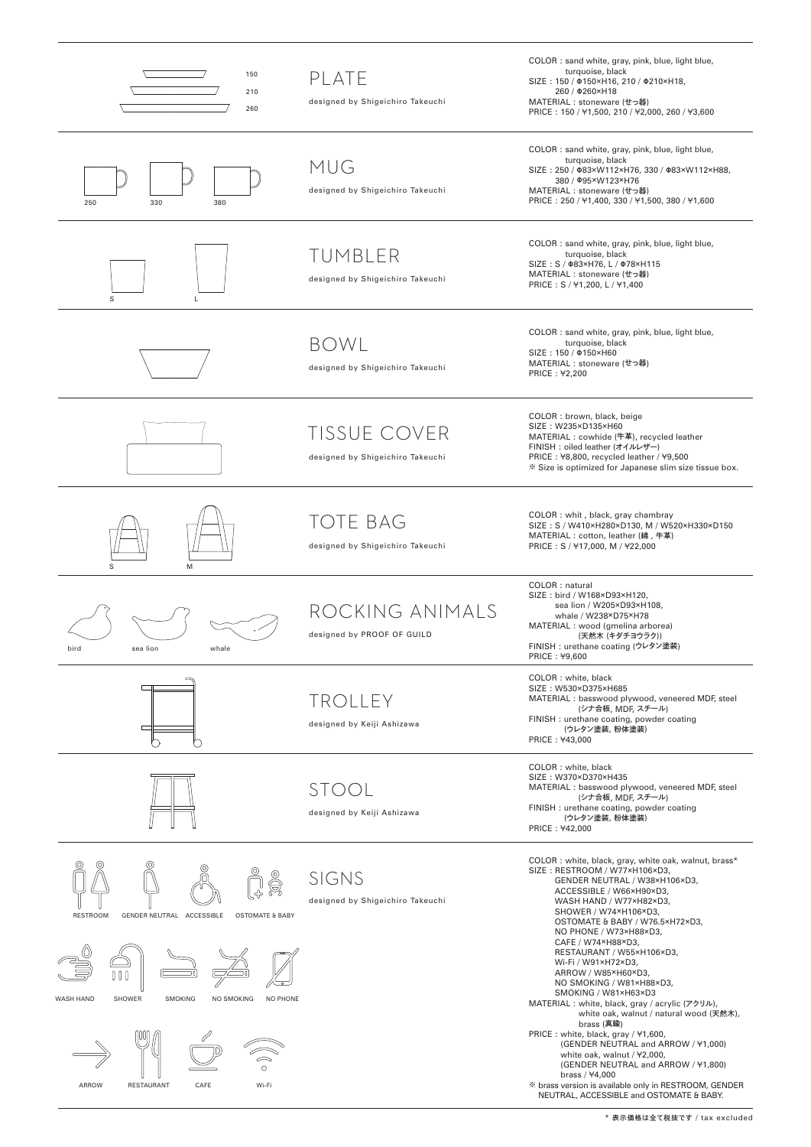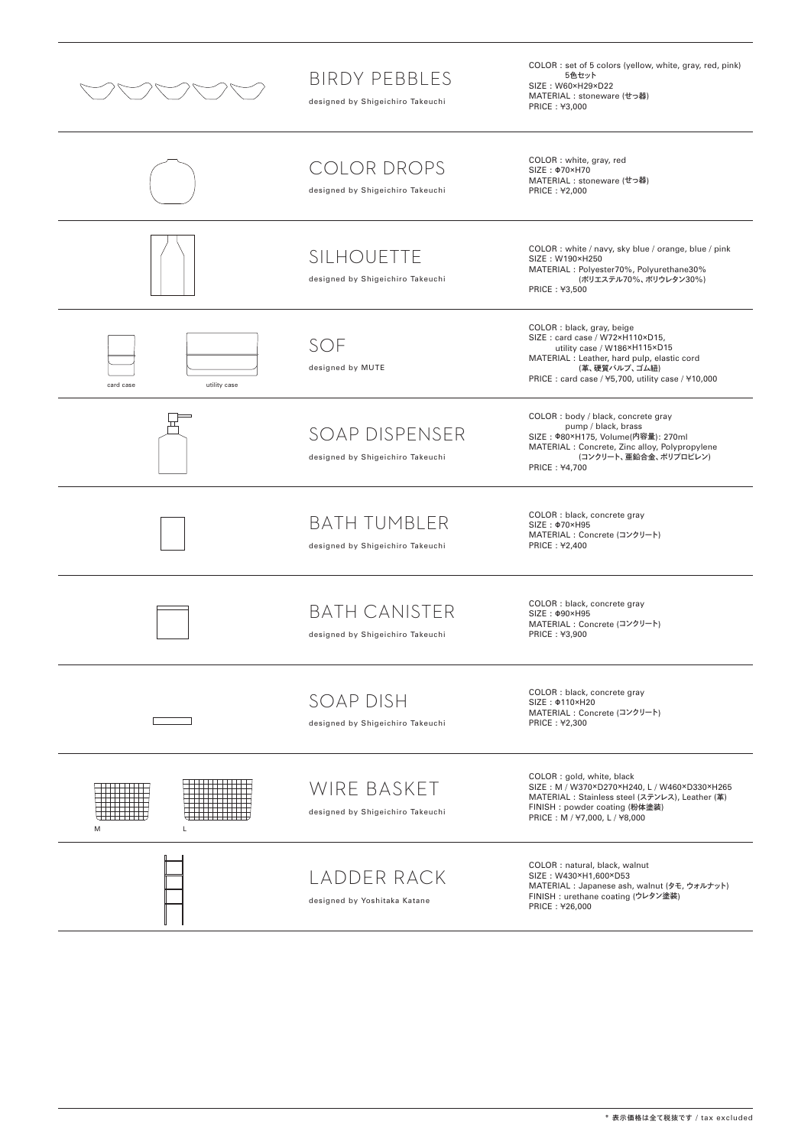

## BIRDY PEBBLES

designed by Shigeichiro Takeuchi

COLOR : set of 5 colors (yellow, white, gray, red, pink)<br>- 5色セット<br>SIZE : W60×H29×D22<br>MATERIAL : stoneware (せっ器)<br>PRICE : ¥3,000

|                           | <b>COLOR DROPS</b><br>designed by Shigeichiro Takeuchi   | COLOR: white, gray, red<br>SIZE: $\Phi$ 70×H70<br>MATERIAL : stoneware (せっ器)<br>PRICE: ¥2,000                                                                                                                      |
|---------------------------|----------------------------------------------------------|--------------------------------------------------------------------------------------------------------------------------------------------------------------------------------------------------------------------|
|                           | SILHOUETTE<br>designed by Shigeichiro Takeuchi           | COLOR : white / navy, sky blue / orange, blue / pink<br>SIZE: W190×H250<br>MATERIAL : Polyester70%, Polyurethane30%<br>(ボリエステル70%、ボリウレタン30%)<br>PRICE: ¥3,500                                                      |
| card case<br>utility case | SOF<br>designed by MUTE                                  | COLOR : black, gray, beige<br>SIZE: card case / W72×H110×D15,<br>utility case / W186×H115×D15<br>MATERIAL : Leather, hard pulp, elastic cord<br>(革、硬質パルプ、ゴム紐)<br>PRICE: card case / ¥5,700, utility case / ¥10,000 |
|                           | SOAP DISPENSER<br>designed by Shigeichiro Takeuchi       | COLOR : body / black, concrete gray<br>pump / black, brass<br>SIZE: $\Phi$ 80×H175, Volume(内容量): 270ml<br>MATERIAL : Concrete, Zinc alloy, Polypropylene<br>(コンクリート、亜鉛合金、ポリプロピレン)<br>PRICE: ¥4,700                 |
|                           | <b>BATH TUMBLER</b><br>designed by Shigeichiro Takeuchi  | COLOR : black, concrete gray<br>SIZE: $\Phi$ 70×H95<br>MATERIAL: Concrete (コンクリート)<br>PRICE: ¥2,400                                                                                                                |
|                           | <b>BATH CANISTER</b><br>designed by Shigeichiro Takeuchi | COLOR : black, concrete gray<br>SIZE: $\Phi$ 90×H95<br>MATERIAL: Concrete (コンクリート)<br>PRICE: ¥3,900                                                                                                                |
|                           | SOAP DISH<br>designed by Shigeichiro Takeuchi            | COLOR : black, concrete gray<br>SIZE: $\Phi$ 110×H20<br>MATERIAL: Concrete (コンクリート)<br>PRICE: ¥2,300                                                                                                               |
| M<br>L                    | WIRE BASKET<br>designed by Shigeichiro Takeuchi          | COLOR: gold, white, black<br>SIZE: M / W370×D270×H240, L / W460×D330×H265<br>MATERIAL: Stainless steel (ステンレス), Leather (革)<br>FINISH: powder coating (粉体塗装)<br>PRICE: M / ¥7,000, L / ¥8,000                      |
|                           | LADDER RACK<br>designed by Yoshitaka Katane              | COLOR : natural, black, walnut<br>SIZE: W430×H1,600×D53<br>MATERIAL: Japanese ash, walnut (タモ, ウォルナット)<br>FINISH : urethane coating (ウレタン塗装)<br>PRICE: ¥26,000                                                     |

\* 表示価格は全て税抜です / tax excluded